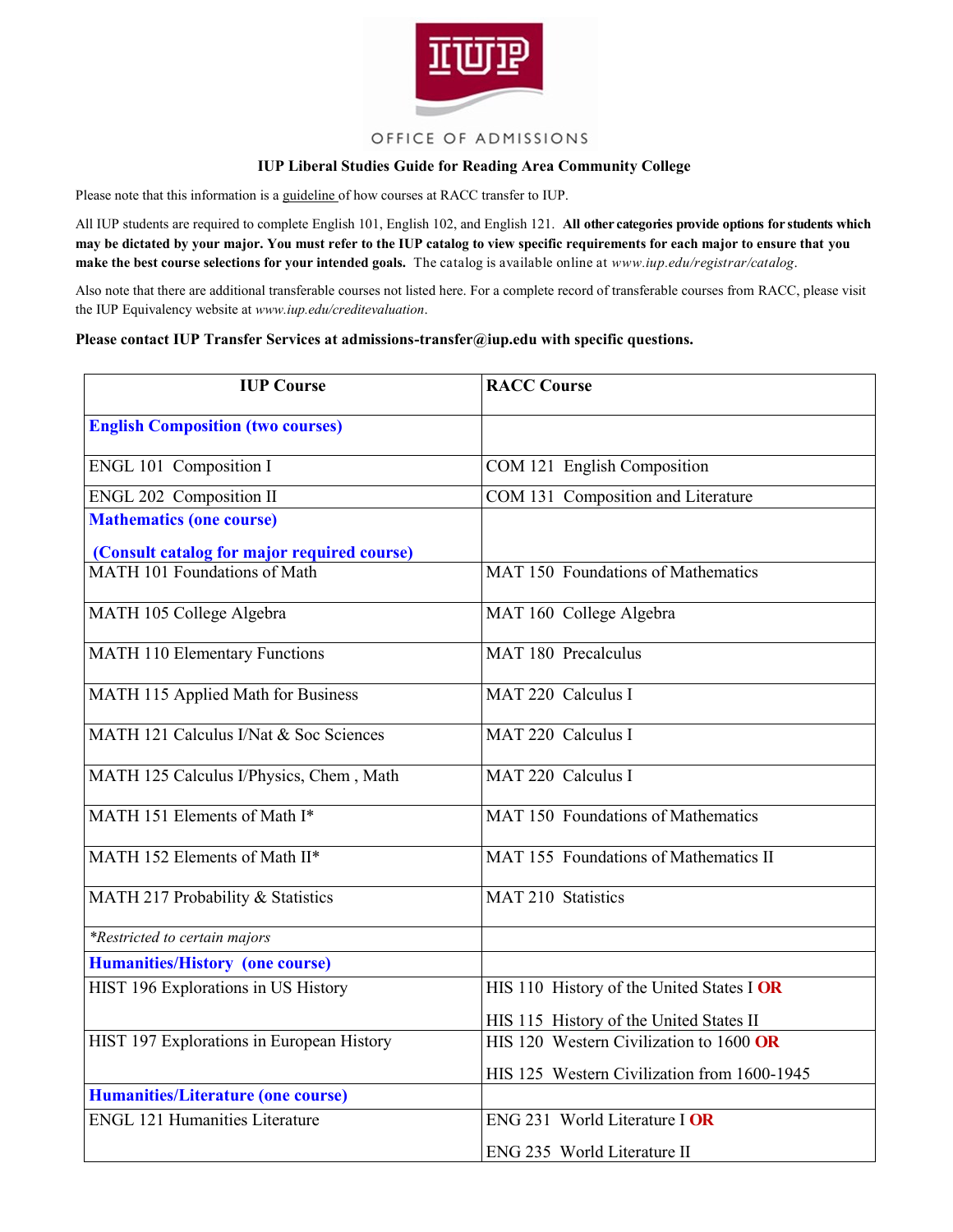

## OFFICE OF ADMISSIONS

## **IUP Liberal Studies Guide for Reading Area Community College**

Please note that this information is a guideline of how courses at RACC transfer to IUP.

All IUP students are required to complete English 101, English 102, and English 121. **All other categories provide options for students which may be dictated by your major. You must refer to the IUP catalog to view specific requirements for each major to ensure that you make the best course selections for your intended goals.** The catalog is available online at *www.iup.edu/registrar/catalog*.

Also note that there are additional transferable courses not listed here. For a complete record of transferable courses from RACC, please visit the IUP Equivalency website at *www.iup.edu/creditevaluation*.

## **Please contact IUP Transfer Services at admissions-transfer@iup.edu with specific questions.**

| <b>IUP Course</b>                           | <b>RACC Course</b>                          |
|---------------------------------------------|---------------------------------------------|
| <b>English Composition (two courses)</b>    |                                             |
| ENGL 101 Composition I                      | COM 121 English Composition                 |
| ENGL 202 Composition II                     | COM 131 Composition and Literature          |
| <b>Mathematics (one course)</b>             |                                             |
| (Consult catalog for major required course) |                                             |
| MATH 101 Foundations of Math                | MAT 150 Foundations of Mathematics          |
| MATH 105 College Algebra                    | MAT 160 College Algebra                     |
| <b>MATH 110 Elementary Functions</b>        | MAT 180 Precalculus                         |
| MATH 115 Applied Math for Business          | MAT 220 Calculus I                          |
| MATH 121 Calculus I/Nat & Soc Sciences      | MAT 220 Calculus I                          |
| MATH 125 Calculus I/Physics, Chem, Math     | MAT 220 Calculus I                          |
| MATH 151 Elements of Math I*                | MAT 150 Foundations of Mathematics          |
| MATH 152 Elements of Math II*               | MAT 155 Foundations of Mathematics II       |
| MATH 217 Probability & Statistics           | <b>MAT 210 Statistics</b>                   |
| <i>*Restricted to certain majors</i>        |                                             |
| <b>Humanities/History (one course)</b>      |                                             |
| HIST 196 Explorations in US History         | HIS 110 History of the United States I OR   |
|                                             | HIS 115 History of the United States II     |
| HIST 197 Explorations in European History   | HIS 120 Western Civilization to 1600 OR     |
|                                             | HIS 125 Western Civilization from 1600-1945 |
| <b>Humanities/Literature (one course)</b>   |                                             |
| <b>ENGL 121 Humanities Literature</b>       | ENG 231 World Literature I OR               |
|                                             | ENG 235 World Literature II                 |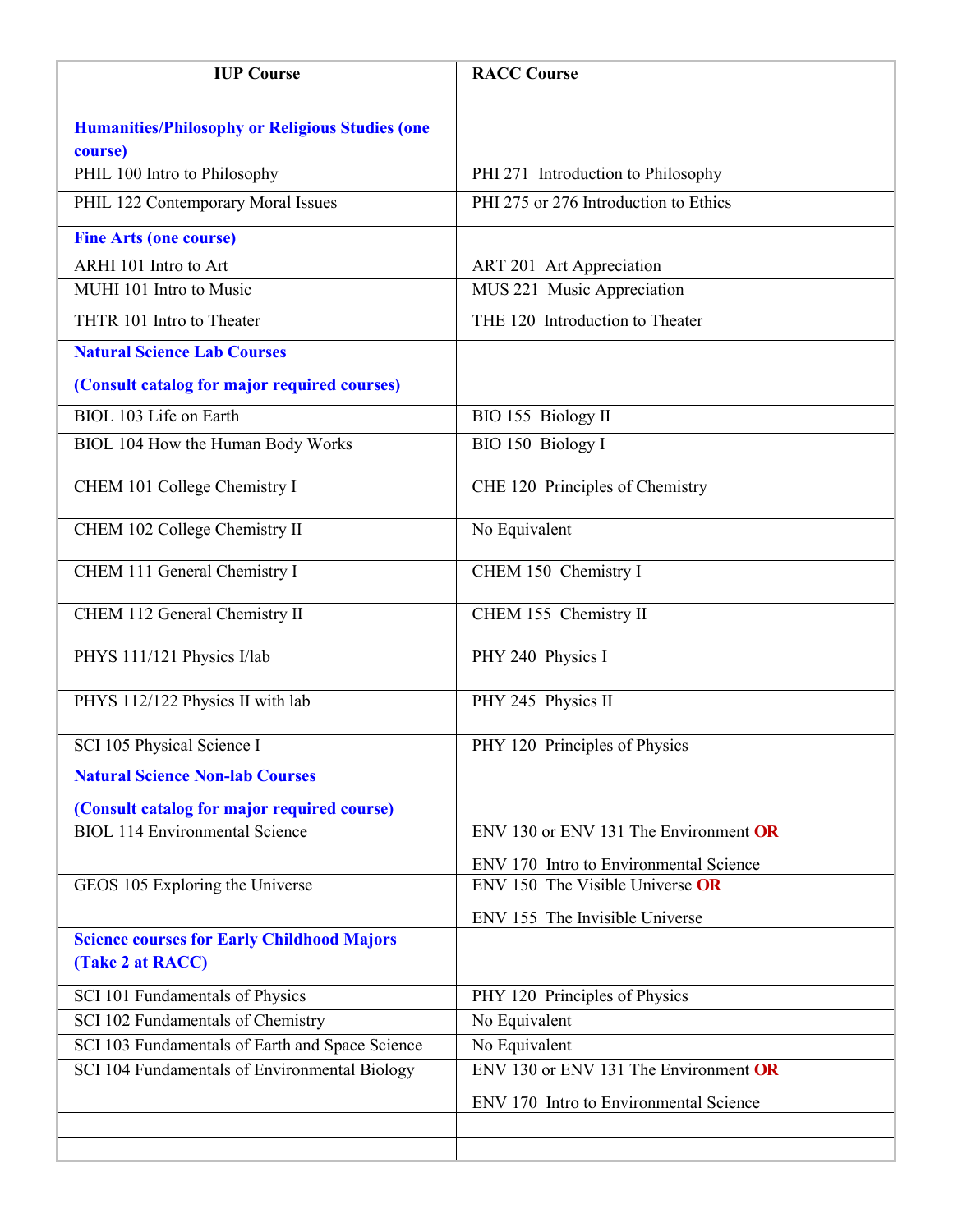| <b>IUP Course</b>                                                     | <b>RACC Course</b>                     |
|-----------------------------------------------------------------------|----------------------------------------|
| <b>Humanities/Philosophy or Religious Studies (one</b><br>course)     |                                        |
| PHIL 100 Intro to Philosophy                                          | PHI 271 Introduction to Philosophy     |
| PHIL 122 Contemporary Moral Issues                                    | PHI 275 or 276 Introduction to Ethics  |
| <b>Fine Arts (one course)</b>                                         |                                        |
| ARHI 101 Intro to Art                                                 | ART 201 Art Appreciation               |
| MUHI 101 Intro to Music                                               | MUS 221 Music Appreciation             |
| THTR 101 Intro to Theater                                             | THE 120 Introduction to Theater        |
| <b>Natural Science Lab Courses</b>                                    |                                        |
| (Consult catalog for major required courses)                          |                                        |
| BIOL 103 Life on Earth                                                | BIO 155 Biology II                     |
| BIOL 104 How the Human Body Works                                     | BIO 150 Biology I                      |
| CHEM 101 College Chemistry I                                          | CHE 120 Principles of Chemistry        |
| CHEM 102 College Chemistry II                                         | No Equivalent                          |
| CHEM 111 General Chemistry I                                          | CHEM 150 Chemistry I                   |
| CHEM 112 General Chemistry II                                         | CHEM 155 Chemistry II                  |
| PHYS 111/121 Physics I/lab                                            | PHY 240 Physics I                      |
| PHYS 112/122 Physics II with lab                                      | PHY 245 Physics II                     |
| SCI 105 Physical Science I                                            | PHY 120 Principles of Physics          |
| <b>Natural Science Non-lab Courses</b>                                |                                        |
| (Consult catalog for major required course)                           |                                        |
| <b>BIOL 114 Environmental Science</b>                                 | ENV 130 or ENV 131 The Environment OR  |
|                                                                       | ENV 170 Intro to Environmental Science |
| GEOS 105 Exploring the Universe                                       | ENV 150 The Visible Universe OR        |
|                                                                       | ENV 155 The Invisible Universe         |
| <b>Science courses for Early Childhood Majors</b><br>(Take 2 at RACC) |                                        |
| SCI 101 Fundamentals of Physics                                       | PHY 120 Principles of Physics          |
| SCI 102 Fundamentals of Chemistry                                     | No Equivalent                          |
| SCI 103 Fundamentals of Earth and Space Science                       | No Equivalent                          |
| SCI 104 Fundamentals of Environmental Biology                         | ENV 130 or ENV 131 The Environment OR  |
|                                                                       | ENV 170 Intro to Environmental Science |
|                                                                       |                                        |